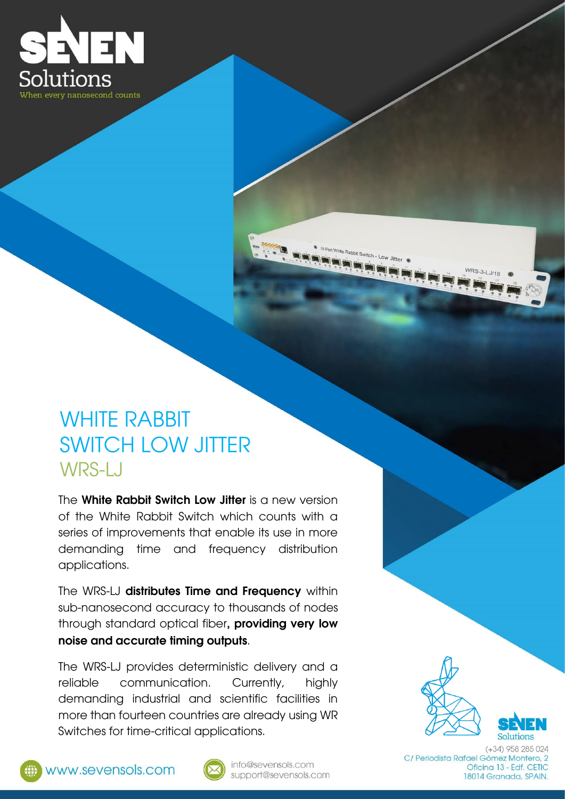

### WHITE RABBIT SWITCH LOW JITTER WRS-LJ

The White Rabbit Switch Low Jitter is a new version of the White Rabbit Switch which counts with a series of improvements that enable its use in more demanding time and frequency distribution applications.

The WRS-LJ distributes Time and Frequency within sub-nanosecond accuracy to thousands of nodes through standard optical fiber, providing very low noise and accurate timing outputs.

The WRS-LJ provides deterministic delivery and a reliable communication. Currently, highly demanding industrial and scientific facilities in more than fourteen countries are already using WR Switches for time-critical applications.



www.sevensols.com



info@sevensols.com support@sevensols.com

 $(+34)$  958 285 024 C/ Periodista Rafael Gómez Montero, 2 Oficina 13 - Edf. CETIC 18014 Granada, SPAIN.

- Low Jitter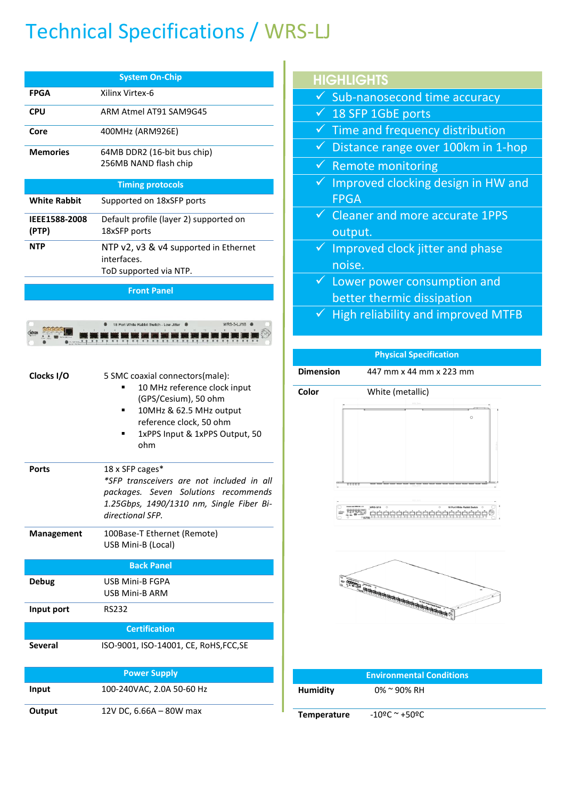## Technical Specifications / WRS-LJ

| <b>System On-Chip</b>         |                                                                                |  |  |  |
|-------------------------------|--------------------------------------------------------------------------------|--|--|--|
| FPGA                          | Xilinx Virtex-6                                                                |  |  |  |
| <b>CPU</b>                    | ARM Atmel AT91 SAM9G45                                                         |  |  |  |
| Core                          | 400MHz (ARM926E)                                                               |  |  |  |
| <b>Memories</b>               | 64MB DDR2 (16-bit bus chip)<br>256MB NAND flash chip                           |  |  |  |
|                               | <b>Timing protocols</b>                                                        |  |  |  |
| <b>White Rabbit</b>           | Supported on 18xSFP ports                                                      |  |  |  |
| <b>IEEE1588-2008</b><br>(PTP) | Default profile (layer 2) supported on<br>18xSFP ports                         |  |  |  |
| <b>NTP</b>                    | NTP v2, v3 & v4 supported in Ethernet<br>interfaces.<br>ToD supported via NTP. |  |  |  |
|                               | <b>Front Panel</b>                                                             |  |  |  |



| Clocks I/O     | 5 SMC coaxial connectors(male):<br>10 MHz reference clock input<br>(GPS/Cesium), 50 ohm<br>10MHz & 62.5 MHz output<br>reference clock, 50 ohm<br>1xPPS Input & 1xPPS Output, 50<br>ohm |
|----------------|----------------------------------------------------------------------------------------------------------------------------------------------------------------------------------------|
| <b>Ports</b>   | 18 x SFP cages*<br>*SFP transceivers are not included in all<br>packages. Seven Solutions recommends<br>1.25Gbps, 1490/1310 nm, Single Fiber Bi-<br>directional SFP.                   |
| Management     | 100Base-T Ethernet (Remote)<br>USB Mini-B (Local)                                                                                                                                      |
|                | <b>Back Panel</b>                                                                                                                                                                      |
| <b>Debug</b>   | <b>USB Mini-B FGPA</b><br><b>USB Mini-B ARM</b>                                                                                                                                        |
| Input port     | <b>RS232</b>                                                                                                                                                                           |
|                | <b>Certification</b>                                                                                                                                                                   |
| <b>Several</b> | ISO-9001, ISO-14001, CE, RoHS, FCC, SE                                                                                                                                                 |
|                | <b>Power Supply</b>                                                                                                                                                                    |
| Input          | 100-240VAC, 2.0A 50-60 Hz                                                                                                                                                              |
| Output         | 12V DC, 6.66A - 80W max                                                                                                                                                                |

|--|

| ✓ Sub-nanosecond time accuracy |
|--------------------------------|
|--------------------------------|

- ✓ 18 SFP 1GbE ports
- $\checkmark$  Time and frequency distribution
- $\checkmark$  Distance range over 100km in 1-hop
- ✓ Remote monitoring
- $\checkmark$  Improved clocking design in HW and FPGA
- ✓ Cleaner and more accurate 1PPS output.
- ✓ Improved clock jitter and phase noise.
- $\checkmark$  Lower power consumption and better thermic dissipation

# ✓ High reliability and improved MTFB **Physical Specification Dimension** 447 mm x 44 mm x 223 mm **Color** White (metallic) <u>, 1990 götötötötötötötötötötöt</u> e mmy ministeren en en en en en **Environmental Conditions**

|                    | <b>Environmental Conditions</b> |  |
|--------------------|---------------------------------|--|
| Humidity           | $0\% \approx 90\% \text{ RH}$   |  |
| <b>Temperature</b> | $-10$ ºC ~ +50ºC                |  |